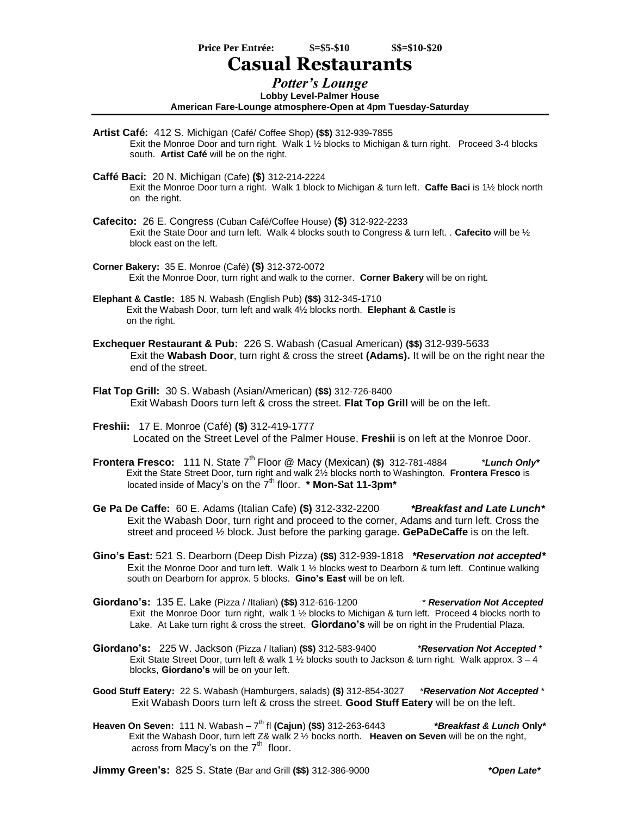**Price Per Entrée: \$=\$5-\$10 \$\$=\$10-\$20**

## **Casual Restaurants**

## *Potter's Lounge*

**Lobby Level-Palmer House American Fare-Lounge atmosphere-Open at 4pm Tuesday-Saturday**

- **Artist Café:** 412 S. Michigan (Café/ Coffee Shop) **(\$\$)** 312-939-7855 Exit the Monroe Door and turn right. Walk 1 ½ blocks to Michigan & turn right. Proceed 3-4 blocks south. **Artist Café** will be on the right.
- **Caffé Baci:** 20 N. Michigan (Cafe) **(\$)** 312-214-2224 Exit the Monroe Door turn a right. Walk 1 block to Michigan & turn left. **Caffe Baci** is 1½ block north on the right.
- **Cafecito:** 26 E. Congress (Cuban Café/Coffee House) **(\$)** 312-922-2233 Exit the State Door and turn left. Walk 4 blocks south to Congress & turn left. . **Cafecito** will be ½ block east on the left.
- **Corner Bakery:** 35 E. Monroe (Café) **(\$)** 312-372-0072 Exit the Monroe Door, turn right and walk to the corner. **Corner Bakery** will be on right.
- **Elephant & Castle:** 185 N. Wabash (English Pub) **(\$\$)** 312-345-1710 Exit the Wabash Door, turn left and walk 4½ blocks north. **Elephant & Castle** is on the right.
- **Exchequer Restaurant & Pub:** 226 S. Wabash (Casual American) **(\$\$)** 312-939-5633 Exit the **Wabash Door**, turn right & cross the street **(Adams).** It will be on the right near the end of the street.
- **Flat Top Grill:** 30 S. Wabash (Asian/American) **(\$\$)** 312-726-8400 Exit Wabash Doors turn left & cross the street. **Flat Top Grill** will be on the left.
- **Freshii:** 17 E. Monroe (Café) **(\$)** 312-419-1777 Located on the Street Level of the Palmer House, **Freshii** is on left at the Monroe Door.
- **Frontera Fresco:** 111 N. State 7<sup>th</sup> Floor @ Macy (Mexican) (\$) 312-781-4884 *\*Lunch Only\**  Exit the State Street Door, turn right and walk 2½ blocks north to Washington. **Frontera Fresco** is **located inside of Macy's on the**  $7<sup>th</sup>$  **floor. <b>\* Mon-Sat 11-3pm**\*
- **Ge Pa De Caffe:** 60 E. Adams (Italian Cafe) **(\$)** 312-332-2200*\*Breakfast and Late Lunch\** Exit the Wabash Door, turn right and proceed to the corner, Adams and turn left. Cross the street and proceed ½ block. Just before the parking garage. **GePaDeCaffe** is on the left.
- **Gino's East:** 521 S. Dearborn (Deep Dish Pizza) **(\$\$)** 312-939-1818 *\*Reservation not accepted\** Exit the Monroe Door and turn left. Walk 1 ½ blocks west to Dearborn & turn left. Continue walking south on Dearborn for approx. 5 blocks. **Gino's East** will be on left.
- **Giordano's:** 135 E. Lake (Pizza / /Italian) **(\$\$)** 312-616-1200 *\* Reservation Not Accepted* Exit the Monroe Door turn right, walk 1 ½ blocks to Michigan & turn left. Proceed 4 blocks north to Lake. At Lake turn right & cross the street. **Giordano's** will be on right in the Prudential Plaza.
- **Giordano's:** 225 W. Jackson (Pizza / Italian) **(\$\$)** 312-583-9400 *\*Reservation Not Accepted* \* Exit State Street Door, turn left & walk 1 ½ blocks south to Jackson & turn right. Walk approx. 3 – 4 blocks, **Giordano's** will be on your left.
- **Good Stuff Eatery:** 22 S. Wabash (Hamburgers, salads) **(\$)** 312-854-3027*\*Reservation Not Accepted* \* Exit Wabash Doors turn left & cross the street. **Good Stuff Eatery** will be on the left.
- **Heaven On Seven:** 111 N. Wabash 7 th fl **(Cajun**) **(\$\$)** 312-263-6443*\*Breakfast & Lunch* **Only\*** Exit the Wabash Door, turn left Z& walk 2 ½ bocks north. **Heaven on Seven** will be on the right, across from Macy's on the  $7<sup>th</sup>$  floor.